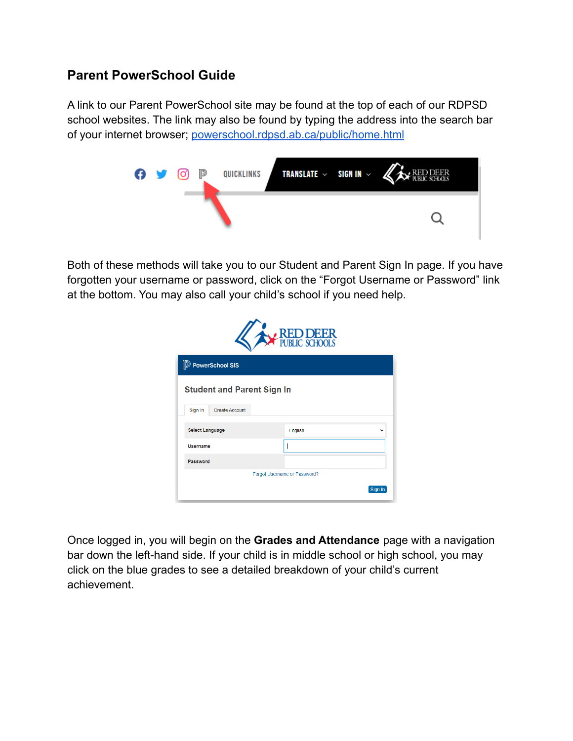## **Parent PowerSchool Guide**

A link to our Parent PowerSchool site may be found at the top of each of our RDPSD school websites. The link may also be found by typing the address into the search bar of your internet browser; [powerschool.rdpsd.ab.ca/public/home.html](http://powerschool.rdpsd.ab.ca/public/home.html)



Both of these methods will take you to our Student and Parent Sign In page. If you have forgotten your username or password, click on the "Forgot Username or Password" link at the bottom. You may also call your child's school if you need help.

| RED DEER                          |         |  |  |  |  |  |  |  |  |  |  |  |  |
|-----------------------------------|---------|--|--|--|--|--|--|--|--|--|--|--|--|
| <b>D</b> PowerSchool SIS          |         |  |  |  |  |  |  |  |  |  |  |  |  |
| <b>Student and Parent Sign In</b> |         |  |  |  |  |  |  |  |  |  |  |  |  |
| <b>Create Account</b><br>Sign In  |         |  |  |  |  |  |  |  |  |  |  |  |  |
| <b>Select Language</b>            | English |  |  |  |  |  |  |  |  |  |  |  |  |
| <b>Username</b>                   |         |  |  |  |  |  |  |  |  |  |  |  |  |
| Password                          |         |  |  |  |  |  |  |  |  |  |  |  |  |
| Forgot Username or Password?      |         |  |  |  |  |  |  |  |  |  |  |  |  |
|                                   | Sign In |  |  |  |  |  |  |  |  |  |  |  |  |

Once logged in, you will begin on the **Grades and Attendance** page with a navigation bar down the left-hand side. If your child is in middle school or high school, you may click on the blue grades to see a detailed breakdown of your child's current achievement.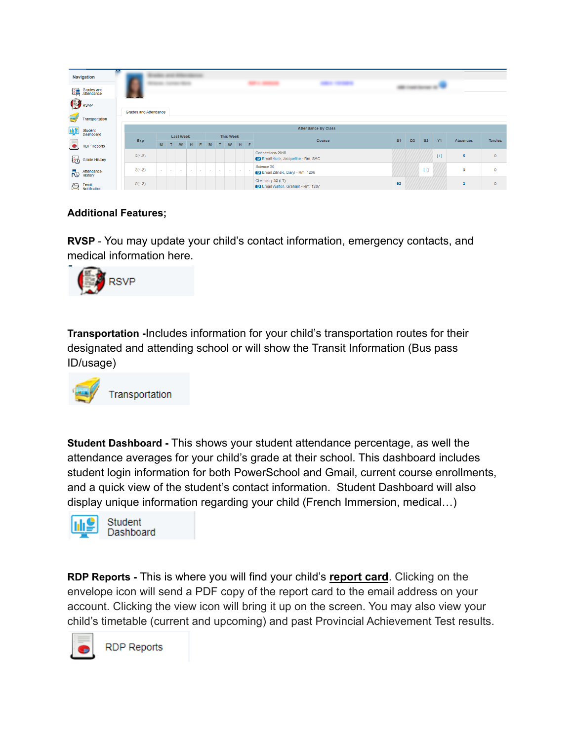|                                      | Navigation                                         |  |          |   |        |        |                  |   |        |   |                  |                |         |                                                             |                | <b>Bill controlled and the Con-</b> |                |           |                         |                |  |  |
|--------------------------------------|----------------------------------------------------|--|----------|---|--------|--------|------------------|---|--------|---|------------------|----------------|---------|-------------------------------------------------------------|----------------|-------------------------------------|----------------|-----------|-------------------------|----------------|--|--|
| 隆                                    | Grades and<br>Attendance                           |  |          |   |        |        |                  |   |        |   |                  |                |         |                                                             |                |                                     |                |           |                         |                |  |  |
| RSVP<br><b>Grades and Attendance</b> |                                                    |  |          |   |        |        |                  |   |        |   |                  |                |         |                                                             |                |                                     |                |           |                         |                |  |  |
| $\blacksquare$                       | Transportation                                     |  |          |   |        |        |                  |   |        |   |                  |                |         |                                                             |                |                                     |                |           |                         |                |  |  |
| 靊                                    | <b>Attendance By Class</b><br>Student<br>Dashboard |  |          |   |        |        |                  |   |        |   |                  |                |         |                                                             |                |                                     |                |           |                         |                |  |  |
|                                      |                                                    |  | Exp      |   |        |        | <b>Last Week</b> |   |        |   | <b>This Week</b> |                |         | Course                                                      | S <sub>1</sub> | Q <sub>3</sub>                      | S <sub>2</sub> | <b>Y1</b> | <b>Absences</b>         | <b>Tardies</b> |  |  |
| $\bullet$                            | <b>RDP Reports</b>                                 |  |          | M |        | W      | H                | F | M      | T | W                |                | $H$ $F$ |                                                             |                |                                     |                |           |                         |                |  |  |
|                                      | Grade History                                      |  | $2(1-2)$ |   |        |        |                  |   |        |   |                  |                |         | Connections 2018<br><b>Email Kure, Jacqueline - Rm: SAC</b> |                |                                     |                | $[1]$     | $\overline{\mathbf{5}}$ | $\mathbf{0}$   |  |  |
| FO                                   | Attendance<br>History                              |  | $3(1-2)$ |   | $\sim$ | $\sim$ |                  |   | $\sim$ | × | $\sim$           | <b>Service</b> | $\sim$  | Science 30<br><b>Email Zilinski, Daryl - Rm: 1206</b>       |                |                                     | [1]            |           | $\circ$                 | $\mathbf{0}$   |  |  |
| €                                    | Email<br>Notification                              |  | $5(1-2)$ |   |        |        |                  |   |        |   |                  |                |         | Chemistry 30 (LT)<br><b>Email Walton, Graham - Rm: 1207</b> | 92             |                                     |                |           | $\overline{3}$          | $\mathbf{0}$   |  |  |

## **Additional Features;**

**RVSP** - You may update your child's contact information, emergency contacts, and medical information here.



**Transportation -**Includes information for your child's transportation routes for their designated and attending school or will show the Transit Information (Bus pass ID/usage)



**Student Dashboard -** This shows your student attendance percentage, as well the attendance averages for your child's grade at their school. This dashboard includes student login information for both PowerSchool and Gmail, current course enrollments, and a quick view of the student's contact information. Student Dashboard will also display unique information regarding your child (French Immersion, medical…)



Dashboard

**RDP Reports -** This is where you will find your child's **report card**. Clicking on the envelope icon will send a PDF copy of the report card to the email address on your account. Clicking the view icon will bring it up on the screen. You may also view your child's timetable (current and upcoming) and past Provincial Achievement Test results.

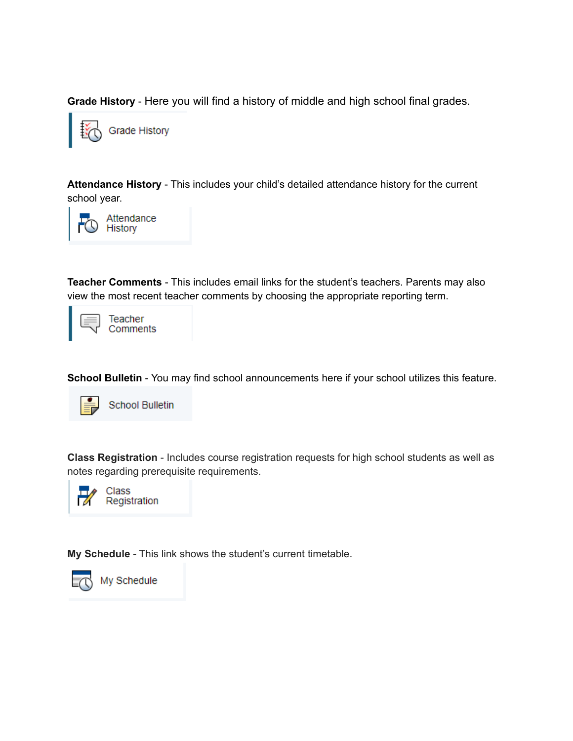**Grade History** - Here you will find a history of middle and high school final grades.



**Attendance History** - This includes your child's detailed attendance history for the current school year.



**Teacher Comments** - This includes email links for the student's teachers. Parents may also view the most recent teacher comments by choosing the appropriate reporting term.



**School Bulletin** - You may find school announcements here if your school utilizes this feature.



**School Bulletin** 

**Class Registration** - Includes course registration requests for high school students as well as notes regarding prerequisite requirements.



Class Registration

**My Schedule** - This link shows the student's current timetable.



My Schedule